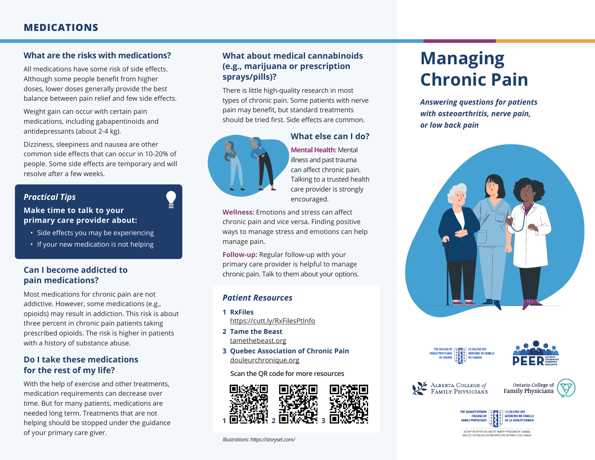# **MEDICATIONS**

## **What are the risks with medications?**

All medications have some risk of side effects. Although some people benefit from higher doses, lower doses generally provide the best balance between pain relief and few side effects.

Weight gain can occur with certain pain medications, including gabapentinoids and antidepressants (about 2-4 kg).

Dizziness, sleepiness and nausea are other common side effects that can occur in 10-20% of people. Some side effects are temporary and will resolve after a few weeks.

## *Practical Tips*

#### **Make time to talk to your primary care provider about:**

- Side effects you may be experiencing
- If your new medication is not helping

#### **Can I become addicted to pain medications?**

Most medications for chronic pain are not addictive. However, some medications (e.g., opioids) may result in addiction. This risk is about three percent in chronic pain patients taking prescribed opioids. The risk is higher in patients with a history of substance abuse.

## **Do I take these medications for the rest of my life?**

With the help of exercise and other treatments, medication requirements can decrease over time. But for many patients, medications are needed long term. Treatments that are not helping should be stopped under the guidance of your primary care giver.

## **What about medical cannabinoids (e.g., marijuana or prescription sprays/pills)?**

There is little high-quality research in most types of chronic pain. Some patients with nerve pain may benefit, but standard treatments should be tried first. Side effects are common.



# **What else can I do?**

**Mental Health:** Mental illness and past trauma can affect chronic pain. Talking to a trusted health care provider is strongly encouraged.

**Wellness:** Emotions and stress can affect chronic pain and vice versa. Finding positive ways to manage stress and emotions can help manage pain.

**Follow-up:** Regular follow-up with your primary care provider is helpful to manage chronic pain. Talk to them about your options.

## *Patient Resources*

- **1 RxFiles** https://cutt.ly/RxFilesPtInfo
- **2 Tame the Beast** tamethebeast.org
- **3 Quebec Association of Chronic Pain** douleurchronique.org

**Scan the QR code for more resources**



# **Managing Chronic Pain**

*Answering questions for patients with osteoarthritis, nerve pain, or low back pain*









Ontario College of **Family Physicians**